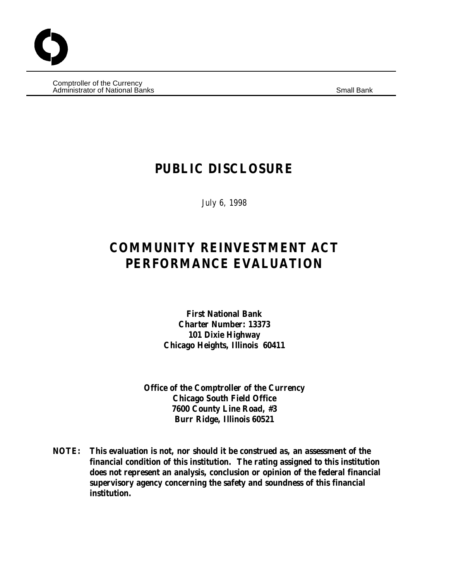Comptroller of the Currency Administrator of National Banks Small Bank

# **PUBLIC DISCLOSURE**

July 6, 1998

# **COMMUNITY REINVESTMENT ACT PERFORMANCE EVALUATION**

**First National Bank Charter Number: 13373 101 Dixie Highway Chicago Heights, Illinois 60411**

**Office of the Comptroller of the Currency Chicago South Field Office 7600 County Line Road, #3 Burr Ridge, Illinois 60521**

**NOTE: This evaluation is not, nor should it be construed as, an assessment of the financial condition of this institution. The rating assigned to this institution does not represent an analysis, conclusion or opinion of the federal financial supervisory agency concerning the safety and soundness of this financial institution.**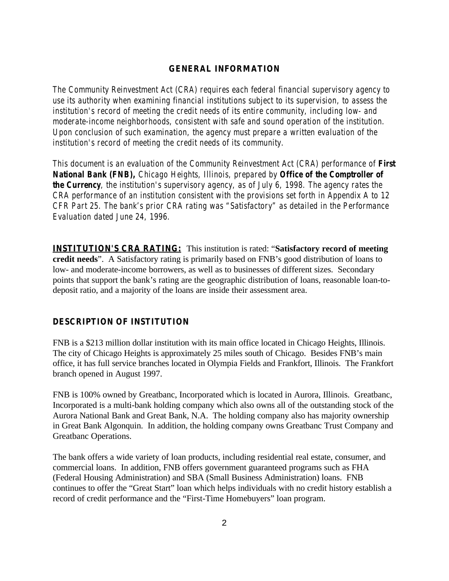# **GENERAL INFORMATION**

*The Community Reinvestment Act (CRA) requires each federal financial supervisory agency to use its authority when examining financial institutions subject to its supervision, to assess the institution's record of meeting the credit needs of its entire community, including low- and moderate-income neighborhoods, consistent with safe and sound operation of the institution. Upon conclusion of such examination, the agency must prepare a written evaluation of the institution's record of meeting the credit needs of its community.* 

*This document is an evaluation of the Community Reinvestment Act (CRA) performance of First National Bank (FNB), Chicago Heights, Illinois, prepared by Office of the Comptroller of the Currency, the institution's supervisory agency, as of July 6, 1998. The agency rates the CRA performance of an institution consistent with the provisions set forth in Appendix A to 12 CFR Part 25. The bank's prior CRA rating was "Satisfactory" as detailed in the Performance Evaluation dated June 24, 1996.* 

**INSTITUTION'S CRA RATING:** This institution is rated: "**Satisfactory record of meeting credit needs**". A Satisfactory rating is primarily based on FNB's good distribution of loans to low- and moderate-income borrowers, as well as to businesses of different sizes. Secondary points that support the bank's rating are the geographic distribution of loans, reasonable loan-todeposit ratio, and a majority of the loans are inside their assessment area.

#### **DESCRIPTION OF INSTITUTION**

FNB is a \$213 million dollar institution with its main office located in Chicago Heights, Illinois. The city of Chicago Heights is approximately 25 miles south of Chicago. Besides FNB's main office, it has full service branches located in Olympia Fields and Frankfort, Illinois. The Frankfort branch opened in August 1997.

FNB is 100% owned by Greatbanc, Incorporated which is located in Aurora, Illinois. Greatbanc, Incorporated is a multi-bank holding company which also owns all of the outstanding stock of the Aurora National Bank and Great Bank, N.A. The holding company also has majority ownership in Great Bank Algonquin. In addition, the holding company owns Greatbanc Trust Company and Greatbanc Operations.

The bank offers a wide variety of loan products, including residential real estate, consumer, and commercial loans. In addition, FNB offers government guaranteed programs such as FHA (Federal Housing Administration) and SBA (Small Business Administration) loans. FNB continues to offer the "Great Start" loan which helps individuals with no credit history establish a record of credit performance and the "First-Time Homebuyers" loan program.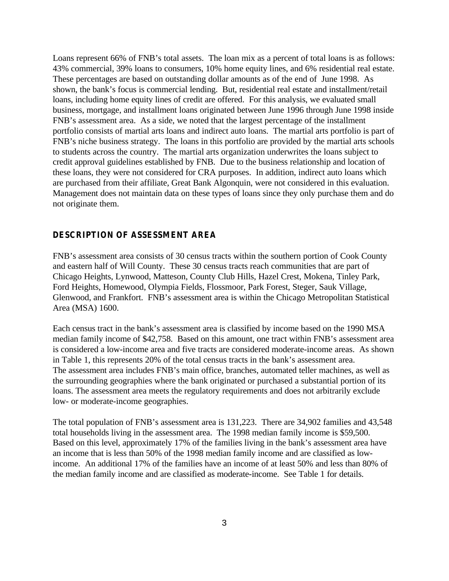Loans represent 66% of FNB's total assets. The loan mix as a percent of total loans is as follows: 43% commercial, 39% loans to consumers, 10% home equity lines, and 6% residential real estate. These percentages are based on outstanding dollar amounts as of the end of June 1998. As shown, the bank's focus is commercial lending. But, residential real estate and installment/retail loans, including home equity lines of credit are offered. For this analysis, we evaluated small business, mortgage, and installment loans originated between June 1996 through June 1998 inside FNB's assessment area. As a side, we noted that the largest percentage of the installment portfolio consists of martial arts loans and indirect auto loans. The martial arts portfolio is part of FNB's niche business strategy. The loans in this portfolio are provided by the martial arts schools to students across the country. The martial arts organization underwrites the loans subject to credit approval guidelines established by FNB. Due to the business relationship and location of these loans, they were not considered for CRA purposes. In addition, indirect auto loans which are purchased from their affiliate, Great Bank Algonquin, were not considered in this evaluation. Management does not maintain data on these types of loans since they only purchase them and do not originate them.

# **DESCRIPTION OF ASSESSMENT AREA**

FNB's assessment area consists of 30 census tracts within the southern portion of Cook County and eastern half of Will County. These 30 census tracts reach communities that are part of Chicago Heights, Lynwood, Matteson, County Club Hills, Hazel Crest, Mokena, Tinley Park, Ford Heights, Homewood, Olympia Fields, Flossmoor, Park Forest, Steger, Sauk Village, Glenwood, and Frankfort. FNB's assessment area is within the Chicago Metropolitan Statistical Area (MSA) 1600.

Each census tract in the bank's assessment area is classified by income based on the 1990 MSA median family income of \$42,758. Based on this amount, one tract within FNB's assessment area is considered a low-income area and five tracts are considered moderate-income areas. As shown in Table 1, this represents 20% of the total census tracts in the bank's assessment area. The assessment area includes FNB's main office, branches, automated teller machines, as well as the surrounding geographies where the bank originated or purchased a substantial portion of its loans. The assessment area meets the regulatory requirements and does not arbitrarily exclude low- or moderate-income geographies.

The total population of FNB's assessment area is 131,223. There are 34,902 families and 43,548 total households living in the assessment area. The 1998 median family income is \$59,500. Based on this level, approximately 17% of the families living in the bank's assessment area have an income that is less than 50% of the 1998 median family income and are classified as lowincome. An additional 17% of the families have an income of at least 50% and less than 80% of the median family income and are classified as moderate-income. See Table 1 for details.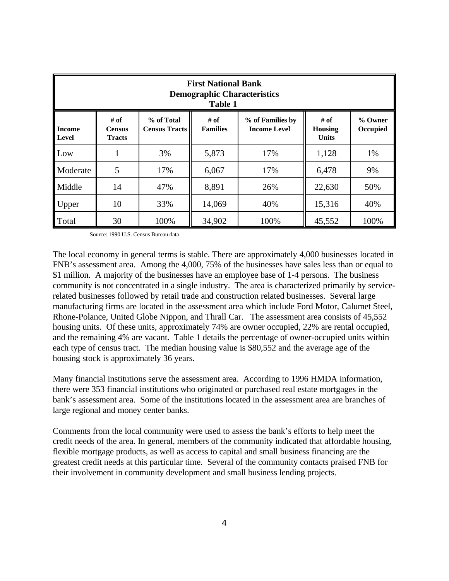| <b>First National Bank</b><br><b>Demographic Characteristics</b><br><b>Table 1</b>                                                                                                                                                            |    |      |        |      |        |      |  |  |  |
|-----------------------------------------------------------------------------------------------------------------------------------------------------------------------------------------------------------------------------------------------|----|------|--------|------|--------|------|--|--|--|
| # of<br>% of Total<br># of<br>% of Families by<br># of<br>% Owner<br><b>Income</b><br><b>Census Tracts</b><br><b>Families</b><br><b>Income Level</b><br><b>Housing</b><br>Occupied<br><b>Census</b><br>Level<br><b>Units</b><br><b>Tracts</b> |    |      |        |      |        |      |  |  |  |
| $\mathsf{Low}$                                                                                                                                                                                                                                |    | 3%   | 5,873  | 17%  | 1,128  | 1%   |  |  |  |
| Moderate                                                                                                                                                                                                                                      | 5  | 17%  | 6,067  | 17%  | 6,478  | 9%   |  |  |  |
| Middle                                                                                                                                                                                                                                        | 14 | 47%  | 8,891  | 26%  | 22,630 | 50%  |  |  |  |
| <b>Upper</b>                                                                                                                                                                                                                                  | 10 | 33%  | 14,069 | 40%  | 15,316 | 40%  |  |  |  |
| Total                                                                                                                                                                                                                                         | 30 | 100% | 34,902 | 100% | 45,552 | 100% |  |  |  |

Source: 1990 U.S. Census Bureau data

The local economy in general terms is stable. There are approximately 4,000 businesses located in FNB's assessment area. Among the 4,000, 75% of the businesses have sales less than or equal to \$1 million. A majority of the businesses have an employee base of 1-4 persons. The business community is not concentrated in a single industry. The area is characterized primarily by servicerelated businesses followed by retail trade and construction related businesses. Several large manufacturing firms are located in the assessment area which include Ford Motor, Calumet Steel, Rhone-Polance, United Globe Nippon, and Thrall Car. The assessment area consists of 45,552 housing units. Of these units, approximately 74% are owner occupied, 22% are rental occupied, and the remaining 4% are vacant. Table 1 details the percentage of owner-occupied units within each type of census tract. The median housing value is \$80,552 and the average age of the housing stock is approximately 36 years.

Many financial institutions serve the assessment area. According to 1996 HMDA information, there were 353 financial institutions who originated or purchased real estate mortgages in the bank's assessment area. Some of the institutions located in the assessment area are branches of large regional and money center banks.

Comments from the local community were used to assess the bank's efforts to help meet the credit needs of the area. In general, members of the community indicated that affordable housing, flexible mortgage products, as well as access to capital and small business financing are the greatest credit needs at this particular time. Several of the community contacts praised FNB for their involvement in community development and small business lending projects.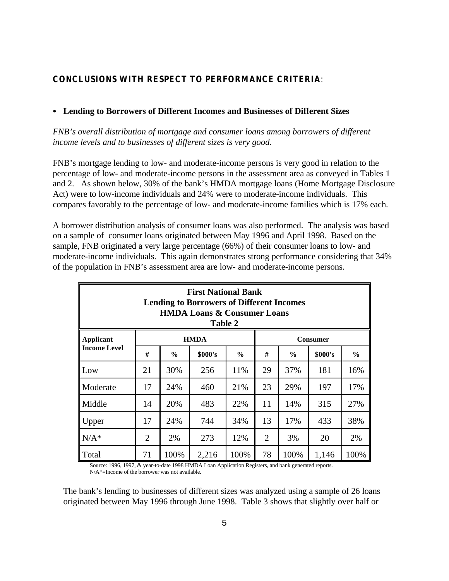# **CONCLUSIONS WITH RESPECT TO PERFORMANCE CRITERIA**:

# C **Lending to Borrowers of Different Incomes and Businesses of Different Sizes**

*FNB's overall distribution of mortgage and consumer loans among borrowers of different income levels and to businesses of different sizes is very good.*

FNB's mortgage lending to low- and moderate-income persons is very good in relation to the percentage of low- and moderate-income persons in the assessment area as conveyed in Tables 1 and 2. As shown below, 30% of the bank's HMDA mortgage loans (Home Mortgage Disclosure Act) were to low-income individuals and 24% were to moderate-income individuals. This compares favorably to the percentage of low- and moderate-income families which is 17% each.

A borrower distribution analysis of consumer loans was also performed. The analysis was based on a sample of consumer loans originated between May 1996 and April 1998. Based on the sample, FNB originated a very large percentage (66%) of their consumer loans to low- and moderate-income individuals. This again demonstrates strong performance considering that 34% of the population in FNB's assessment area are low- and moderate-income persons.

| <b>First National Bank</b><br><b>Lending to Borrowers of Different Incomes</b><br><b>HMDA Loans &amp; Consumer Loans</b><br>Table 2 |    |               |         |               |    |               |         |               |  |
|-------------------------------------------------------------------------------------------------------------------------------------|----|---------------|---------|---------------|----|---------------|---------|---------------|--|
| <b>HMDA</b><br><b>Applicant</b><br><b>Consumer</b>                                                                                  |    |               |         |               |    |               |         |               |  |
| <b>Income Level</b>                                                                                                                 | #  | $\frac{0}{0}$ | \$000's | $\frac{6}{9}$ | #  | $\frac{0}{0}$ | \$000's | $\frac{6}{6}$ |  |
| Low                                                                                                                                 | 21 | 30%           | 256     | 11%           | 29 | 37%           | 181     | 16%           |  |
| Moderate                                                                                                                            | 17 | 24%           | 460     | 21%           | 23 | 29%           | 197     | 17%           |  |
| Middle                                                                                                                              | 14 | 20%           | 483     | 22%           | 11 | 14%           | 315     | 27%           |  |
| 17<br>24%<br>744<br>34%<br>Upper                                                                                                    |    |               |         |               | 13 | 17%           | 433     | 38%           |  |
| $N/A^*$<br>$\overline{2}$<br>273<br>12%<br>$\overline{2}$<br>3%<br>20<br>2%                                                         |    |               |         |               |    | 2%            |         |               |  |
| 100%<br>78<br>100%<br>100%<br>71<br>100%<br>2,216<br>1,146<br>Total                                                                 |    |               |         |               |    |               |         |               |  |

Source: 1996, 1997, & year-to-date 1998 HMDA Loan Application Registers, and bank generated reports. N/A\*=Income of the borrower was not available.

The bank's lending to businesses of different sizes was analyzed using a sample of 26 loans originated between May 1996 through June 1998. Table 3 shows that slightly over half or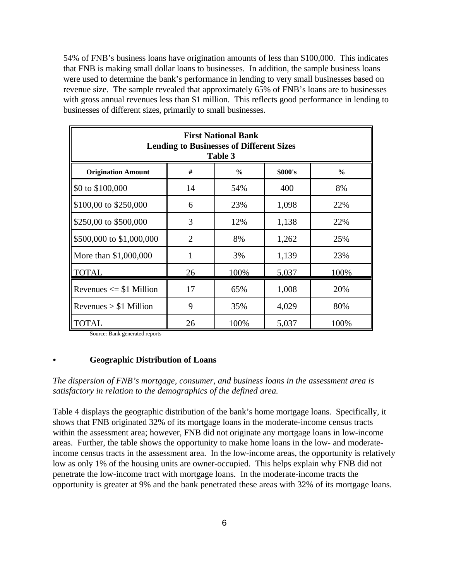54% of FNB's business loans have origination amounts of less than \$100,000. This indicates that FNB is making small dollar loans to businesses. In addition, the sample business loans were used to determine the bank's performance in lending to very small businesses based on revenue size. The sample revealed that approximately 65% of FNB's loans are to businesses with gross annual revenues less than \$1 million. This reflects good performance in lending to businesses of different sizes, primarily to small businesses.

| <b>First National Bank</b><br><b>Lending to Businesses of Different Sizes</b><br>Table 3 |    |      |       |      |  |  |  |  |
|------------------------------------------------------------------------------------------|----|------|-------|------|--|--|--|--|
| #<br>\$000's<br><b>Origination Amount</b><br>$\%$<br>$\frac{6}{6}$                       |    |      |       |      |  |  |  |  |
| \$0 to \$100,000                                                                         | 14 | 54%  | 400   | 8%   |  |  |  |  |
| \$100,00 to \$250,000                                                                    | 6  | 23%  | 1,098 | 22%  |  |  |  |  |
| \$250,00 to \$500,000                                                                    | 3  | 12%  | 1,138 | 22%  |  |  |  |  |
| \$500,000 to \$1,000,000                                                                 | 2  | 8%   | 1,262 | 25%  |  |  |  |  |
| More than \$1,000,000                                                                    | 1  | 3%   | 1,139 | 23%  |  |  |  |  |
| <b>TOTAL</b>                                                                             | 26 | 100% | 5,037 | 100% |  |  |  |  |
| Revenues $\le$ \$1 Million                                                               | 17 | 65%  | 1,008 | 20%  |  |  |  |  |
| Revenues $> $1$ Million                                                                  | 9  | 35%  | 4,029 | 80%  |  |  |  |  |
| <b>TOTAL</b><br>26<br>100%<br>5,037<br>100%                                              |    |      |       |      |  |  |  |  |

Source: Bank generated reports

#### C **Geographic Distribution of Loans**

*The dispersion of FNB's mortgage, consumer, and business loans in the assessment area is satisfactory in relation to the demographics of the defined area.*

Table 4 displays the geographic distribution of the bank's home mortgage loans. Specifically, it shows that FNB originated 32% of its mortgage loans in the moderate-income census tracts within the assessment area; however, FNB did not originate any mortgage loans in low-income areas. Further, the table shows the opportunity to make home loans in the low- and moderateincome census tracts in the assessment area. In the low-income areas, the opportunity is relatively low as only 1% of the housing units are owner-occupied. This helps explain why FNB did not penetrate the low-income tract with mortgage loans. In the moderate-income tracts the opportunity is greater at 9% and the bank penetrated these areas with 32% of its mortgage loans.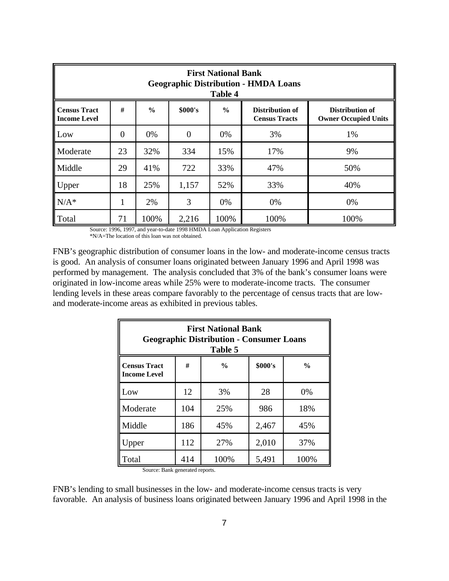| <b>First National Bank</b><br><b>Geographic Distribution - HMDA Loans</b><br><b>Table 4</b>                                                                                               |                |      |       |      |      |      |  |  |  |
|-------------------------------------------------------------------------------------------------------------------------------------------------------------------------------------------|----------------|------|-------|------|------|------|--|--|--|
| #<br>$\frac{6}{6}$<br>\$000's<br>$\frac{6}{6}$<br>Distribution of<br><b>Census Tract</b><br>Distribution of<br><b>Income Level</b><br><b>Census Tracts</b><br><b>Owner Occupied Units</b> |                |      |       |      |      |      |  |  |  |
| Low                                                                                                                                                                                       | $\overline{0}$ | 0%   | 0     | 0%   | 3%   | 1%   |  |  |  |
| Moderate                                                                                                                                                                                  | 23             | 32%  | 334   | 15%  | 17%  | 9%   |  |  |  |
| Middle                                                                                                                                                                                    | 29             | 41%  | 722   | 33%  | 47%  | 50%  |  |  |  |
| Upper                                                                                                                                                                                     | 18             | 25%  | 1,157 | 52%  | 33%  | 40%  |  |  |  |
| $N/A^*$                                                                                                                                                                                   |                | 2%   | 3     | 0%   | 0%   | 0%   |  |  |  |
| Total                                                                                                                                                                                     | 71             | 100% | 2,216 | 100% | 100% | 100% |  |  |  |

Source: 1996, 1997, and year-to-date 1998 HMDA Loan Application Registers \*N/A=The location of this loan was not obtained.

FNB's geographic distribution of consumer loans in the low- and moderate-income census tracts is good. An analysis of consumer loans originated between January 1996 and April 1998 was performed by management. The analysis concluded that 3% of the bank's consumer loans were originated in low-income areas while 25% were to moderate-income tracts. The consumer lending levels in these areas compare favorably to the percentage of census tracts that are lowand moderate-income areas as exhibited in previous tables.

| <b>First National Bank</b><br><b>Geographic Distribution - Consumer Loans</b><br>Table 5     |     |      |       |      |  |  |  |  |
|----------------------------------------------------------------------------------------------|-----|------|-------|------|--|--|--|--|
| \$000's<br>#<br>$\frac{0}{0}$<br>$\frac{0}{0}$<br><b>Census Tract</b><br><b>Income Level</b> |     |      |       |      |  |  |  |  |
| Low                                                                                          | 12  | 3%   | 28    | 0%   |  |  |  |  |
| Moderate                                                                                     | 104 | 25%  | 986   | 18%  |  |  |  |  |
| Middle                                                                                       | 186 | 45%  | 2,467 | 45%  |  |  |  |  |
| Jpper                                                                                        | 112 | 27%  | 2,010 | 37%  |  |  |  |  |
| Гоtal                                                                                        | 414 | 100% | 5,491 | 100% |  |  |  |  |

Source: Bank generated reports.

FNB's lending to small businesses in the low- and moderate-income census tracts is very favorable. An analysis of business loans originated between January 1996 and April 1998 in the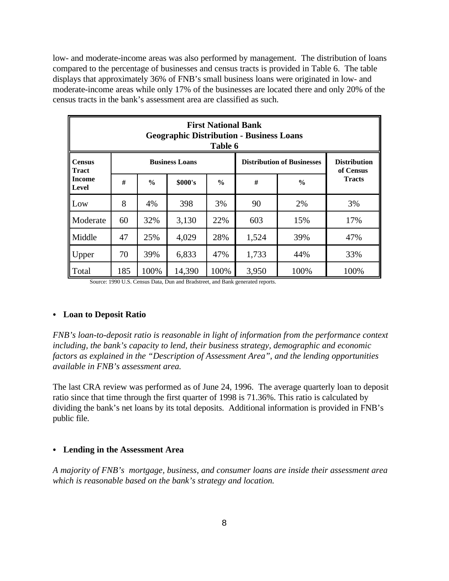low- and moderate-income areas was also performed by management. The distribution of loans compared to the percentage of businesses and census tracts is provided in Table 6. The table displays that approximately 36% of FNB's small business loans were originated in low- and moderate-income areas while only 17% of the businesses are located there and only 20% of the census tracts in the bank's assessment area are classified as such.

| <b>First National Bank</b><br><b>Geographic Distribution - Business Loans</b><br>Table 6 |     |               |                       |               |                                   |                                  |               |  |  |  |
|------------------------------------------------------------------------------------------|-----|---------------|-----------------------|---------------|-----------------------------------|----------------------------------|---------------|--|--|--|
| <b>Census</b><br><b>Tract</b><br><b>Income</b><br><b>Level</b>                           |     |               | <b>Business Loans</b> |               | <b>Distribution of Businesses</b> | <b>Distribution</b><br>of Census |               |  |  |  |
|                                                                                          | #   | $\frac{6}{9}$ | \$000's               | $\frac{6}{6}$ | #                                 | $\frac{6}{6}$                    | <b>Tracts</b> |  |  |  |
| Low                                                                                      | 8   | 4%            | 398                   | 3%            | 90                                | 2%                               | 3%            |  |  |  |
| Moderate                                                                                 | 60  | 32%           | 3,130                 | 22%           | 603                               | 15%                              | 17%           |  |  |  |
| Middle                                                                                   | 47  | 25%           | 4,029                 | 28%           | 1,524                             | 39%                              | 47%           |  |  |  |
| Upper                                                                                    | 70  | 39%           | 6,833                 | 47%           | 1,733                             | 44%                              | 33%           |  |  |  |
| Total                                                                                    | 185 | 100%          | 14,390                | 100%          | 3,950                             | 100%                             | 100%          |  |  |  |

Source: 1990 U.S. Census Data, Dun and Bradstreet, and Bank generated reports.

#### • Loan to Deposit Ratio

*FNB's loan-to-deposit ratio is reasonable in light of information from the performance context including, the bank's capacity to lend, their business strategy, demographic and economic factors as explained in the "Description of Assessment Area", and the lending opportunities available in FNB's assessment area.* 

The last CRA review was performed as of June 24, 1996. The average quarterly loan to deposit ratio since that time through the first quarter of 1998 is 71.36%. This ratio is calculated by dividing the bank's net loans by its total deposits. Additional information is provided in FNB's public file.

#### • Lending in the Assessment Area

*A majority of FNB's mortgage, business, and consumer loans are inside their assessment area which is reasonable based on the bank's strategy and location.*